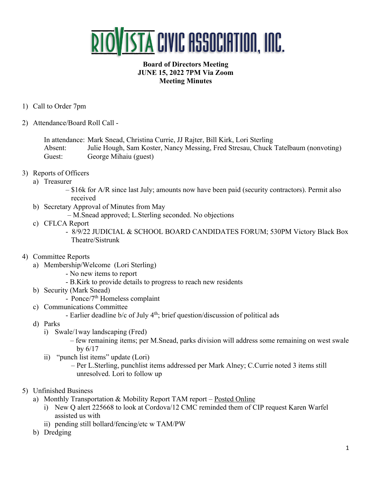

## **Board of Directors Meeting JUNE 15, 2022 7PM Via Zoom Meeting Minutes**

- 1) Call to Order 7pm
- 2) Attendance/Board Roll Call -

In attendance: Mark Snead, Christina Currie, JJ Rajter, Bill Kirk, Lori Sterling Absent: Julie Hough, Sam Koster, Nancy Messing, Fred Stresau, Chuck Tatelbaum (nonvoting) Guest: George Mihaiu (guest)

- 3) Reports of Officers
	- a) Treasurer
		- \$16k for A/R since last July; amounts now have been paid (security contractors). Permit also received
	- b) Secretary Approval of Minutes from May
		- M.Snead approved; L.Sterling seconded. No objections
	- c) CFLCA Report
		- 8/9/22 JUDICIAL & SCHOOL BOARD CANDIDATES FORUM; 530PM Victory Black Box Theatre/Sistrunk
- 4) Committee Reports
	- a) Membership/Welcome (Lori Sterling)
		- No new items to report
		- B.Kirk to provide details to progress to reach new residents
	- b) Security (Mark Snead)
		- Ponce/7th Homeless complaint
	- c) Communications Committee
		- Earlier deadline b/c of July 4<sup>th</sup>; brief question/discussion of political ads
	- d) Parks
		- i) Swale/1way landscaping (Fred)
			- few remaining items; per M.Snead, parks division will address some remaining on west swale by 6/17
		- ii) "punch list items" update (Lori)
			- Per L.Sterling, punchlist items addressed per Mark Alney; C.Currie noted 3 items still unresolved. Lori to follow up
- 5) Unfinished Business
	- a) Monthly Transportation & Mobility Report TAM report Posted Online
		- i) New Q alert 225668 to look at Cordova/12 CMC reminded them of CIP request Karen Warfel assisted us with
		- ii) pending still bollard/fencing/etc w TAM/PW
	- b) Dredging